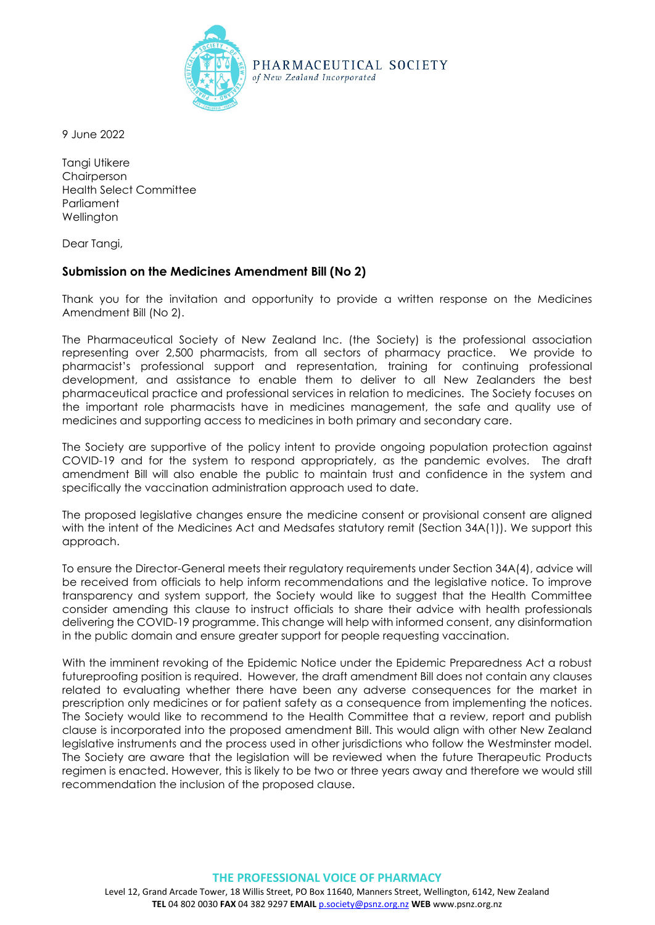

9 June 2022

Tangi Utikere Chairperson Health Select Committee **Parliament Wellington** 

Dear Tangi,

## **Submission on the Medicines Amendment Bill (No 2)**

Thank you for the invitation and opportunity to provide a written response on the Medicines Amendment Bill (No 2).

The Pharmaceutical Society of New Zealand Inc. (the Society) is the professional association representing over 2,500 pharmacists, from all sectors of pharmacy practice. We provide to pharmacist's professional support and representation, training for continuing professional development, and assistance to enable them to deliver to all New Zealanders the best pharmaceutical practice and professional services in relation to medicines. The Society focuses on the important role pharmacists have in medicines management, the safe and quality use of medicines and supporting access to medicines in both primary and secondary care.

The Society are supportive of the policy intent to provide ongoing population protection against COVID-19 and for the system to respond appropriately, as the pandemic evolves. The draft amendment Bill will also enable the public to maintain trust and confidence in the system and specifically the vaccination administration approach used to date.

The proposed legislative changes ensure the medicine consent or provisional consent are aligned with the intent of the Medicines Act and Medsafes statutory remit (Section 34A(1)). We support this approach.

To ensure the Director-General meets their regulatory requirements under Section 34A(4), advice will be received from officials to help inform recommendations and the legislative notice. To improve transparency and system support, the Society would like to suggest that the Health Committee consider amending this clause to instruct officials to share their advice with health professionals delivering the COVID-19 programme. This change will help with informed consent, any disinformation in the public domain and ensure greater support for people requesting vaccination.

With the imminent revoking of the Epidemic Notice under the Epidemic Preparedness Act a robust futureproofing position is required. However, the draft amendment Bill does not contain any clauses related to evaluating whether there have been any adverse consequences for the market in prescription only medicines or for patient safety as a consequence from implementing the notices. The Society would like to recommend to the Health Committee that a review, report and publish clause is incorporated into the proposed amendment Bill. This would align with other New Zealand legislative instruments and the process used in other jurisdictions who follow the Westminster model. The Society are aware that the legislation will be reviewed when the future Therapeutic Products regimen is enacted. However, this is likely to be two or three years away and therefore we would still recommendation the inclusion of the proposed clause.